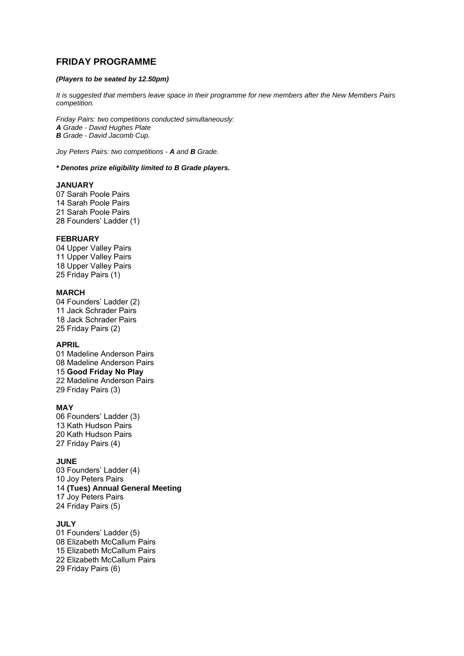# **FRIDAY PROGRAMME**

## *(Players to be seated by 12.50pm)*

*It is suggested that members leave space in their programme for new members after the New Members Pairs competition.*

*Friday Pairs: two competitions conducted simultaneously: A Grade - David Hughes Plate B Grade - David Jacomb Cup.*

*Joy Peters Pairs: two competitions - A and B Grade.*

### *\* Denotes prize eligibility limited to B Grade players.*

## **JANUARY**

07 Sarah Poole Pairs 14 Sarah Poole Pairs 21 Sarah Poole Pairs 28 Founders' Ladder (1)

#### **FEBRUARY**

04 Upper Valley Pairs 11 Upper Valley Pairs 18 Upper Valley Pairs 25 Friday Pairs (1)

#### **MARCH**

04 Founders' Ladder (2) 11 Jack Schrader Pairs 18 Jack Schrader Pairs 25 Friday Pairs (2)

## **APRIL**

01 Madeline Anderson Pairs 08 Madeline Anderson Pairs 15 **Good Friday No Play** 22 Madeline Anderson Pairs 29 Friday Pairs (3)

# **MAY**

06 Founders' Ladder (3) 13 Kath Hudson Pairs 20 Kath Hudson Pairs 27 Friday Pairs (4)

#### **JUNE**

03 Founders' Ladder (4) 10 Joy Peters Pairs 14 **(Tues) Annual General Meeting** 17 Joy Peters Pairs 24 Friday Pairs (5)

## **JULY**

01 Founders' Ladder (5) 08 Elizabeth McCallum Pairs 15 Elizabeth McCallum Pairs 22 Elizabeth McCallum Pairs 29 Friday Pairs (6)